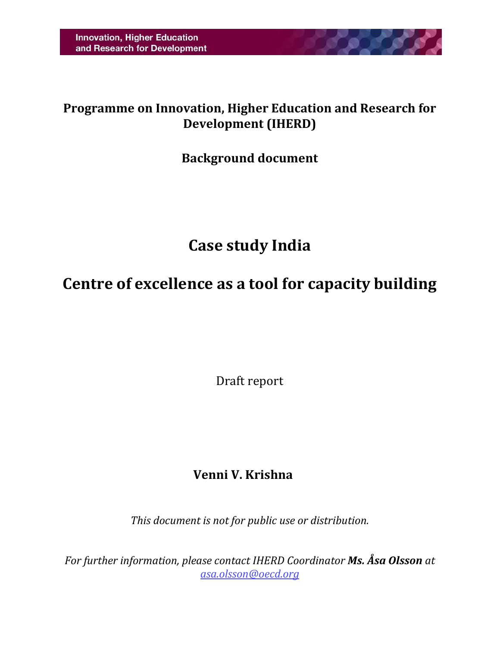## **Programme on Innovation, Higher Education and Research for Development (IHERD)**

**CONTRACTOR** 

## **Background document**

# **Case study India**

# <span id="page-0-2"></span><span id="page-0-1"></span><span id="page-0-0"></span>**Centre of excellence as a tool for capacity building**

Draft report

## **Venni V. Krishna**

*This document is not for public use or distribution.*

*For further information, please contact IHERD Coordinator Ms. Åsa Olsson at [asa.olsson@oecd.org](mailto:asa.olsson@oecd.org)*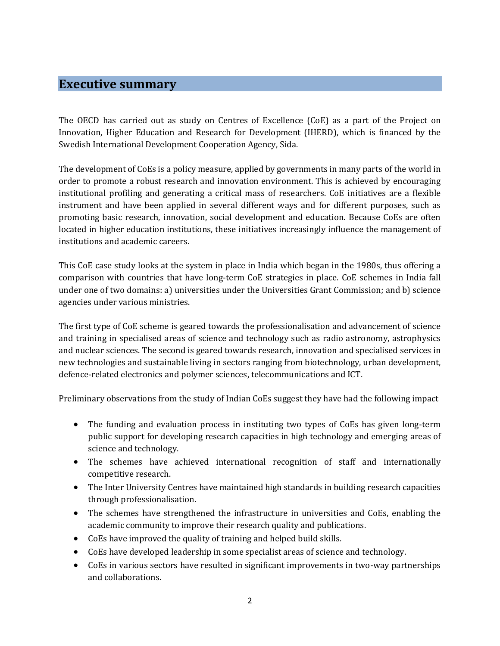#### **Executive summary**

The OECD has carried out as study on Centres of Excellence (CoE) as a part of the Project on Innovation, Higher Education and Research for Development (IHERD), which is financed by the Swedish International Development Cooperation Agency, Sida.

The development of CoEs is a policy measure, applied by governments in many parts of the world in order to promote a robust research and innovation environment. This is achieved by encouraging institutional profiling and generating a critical mass of researchers. CoE initiatives are a flexible instrument and have been applied in several different ways and for different purposes, such as promoting basic research, innovation, social development and education. Because CoEs are often located in higher education institutions, these initiatives increasingly influence the management of institutions and academic careers.

This CoE case study looks at the system in place in India which began in the 1980s, thus offering a comparison with countries that have long-term CoE strategies in place. CoE schemes in India fall under one of two domains: a) universities under the Universities Grant Commission; and b) science agencies under various ministries.

The first type of CoE scheme is geared towards the professionalisation and advancement of science and training in specialised areas of science and technology such as radio astronomy, astrophysics and nuclear sciences. The second is geared towards research, innovation and specialised services in new technologies and sustainable living in sectors ranging from biotechnology, urban development, defence-related electronics and polymer sciences, telecommunications and ICT.

Preliminary observations from the study of Indian CoEs suggest they have had the following impact

- The funding and evaluation process in instituting two types of CoEs has given long-term public support for developing research capacities in high technology and emerging areas of science and technology.
- The schemes have achieved international recognition of staff and internationally competitive research.
- The Inter University Centres have maintained high standards in building research capacities through professionalisation.
- The schemes have strengthened the infrastructure in universities and CoEs, enabling the academic community to improve their research quality and publications.
- CoEs have improved the quality of training and helped build skills.
- CoEs have developed leadership in some specialist areas of science and technology.
- CoEs in various sectors have resulted in significant improvements in two-way partnerships and collaborations.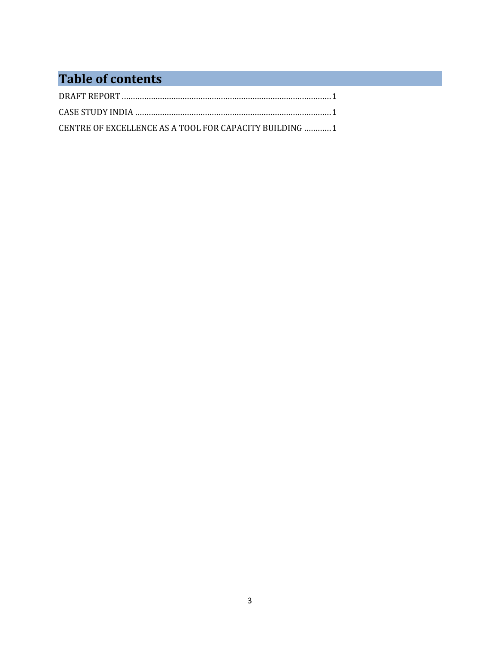## **Table of contents**

| CENTRE OF EXCELLENCE AS A TOOL FOR CAPACITY BUILDING  1 |  |
|---------------------------------------------------------|--|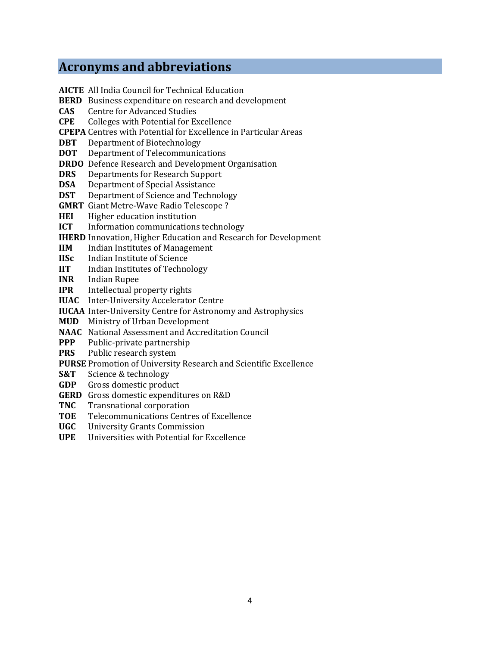### **Acronyms and abbreviations**

- **AICTE** All India Council for Technical Education **BERD** Business expenditure on research and development **CAS** Centre for Advanced Studies **CPE** Colleges with Potential for Excellence **CPEPA** Centres with Potential for Excellence in Particular Areas **DBT** Department of Biotechnology **DOT** Department of Telecommunications **DRDO** Defence Research and Development Organisation **DRS** Departments for Research Support **DSA** Department of Special Assistance **DST** Department of Science and Technology **GMRT** Giant Metre-Wave Radio Telescope ? **HEI** Higher education institution **ICT** Information communications technology **IHERD** Innovation, Higher Education and Research for Development **IIM** Indian Institutes of Management **IISc** Indian Institute of Science **IIT** Indian Institutes of Technology **INR** Indian Rupee **IPR** Intellectual property rights **IUAC** Inter-University Accelerator Centre **IUCAA** Inter-University Centre for Astronomy and Astrophysics **MUD** Ministry of Urban Development
- **NAAC** National Assessment and Accreditation Council
- **PPP** Public-private partnership
- **PRS** Public research system
- **PURSE** Promotion of University Research and Scientific Excellence
- **S&T** Science & technology
- **GDP** Gross domestic product
- **GERD** Gross domestic expenditures on R&D
- **TNC** Transnational corporation
- **TOE** Telecommunications Centres of Excellence
- **UGC** University Grants Commission
- **UPE** Universities with Potential for Excellence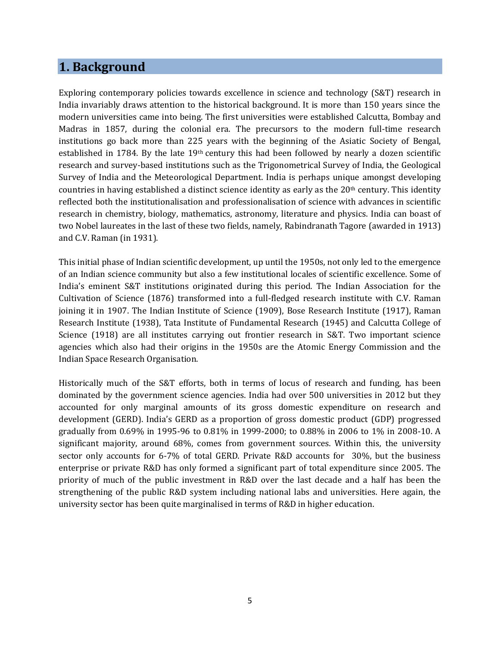### **1. Background**

Exploring contemporary policies towards excellence in science and technology (S&T) research in India invariably draws attention to the historical background. It is more than 150 years since the modern universities came into being. The first universities were established Calcutta, Bombay and Madras in 1857, during the colonial era. The precursors to the modern full-time research institutions go back more than 225 years with the beginning of the Asiatic Society of Bengal, established in 1784. By the late  $19<sup>th</sup>$  century this had been followed by nearly a dozen scientific research and survey-based institutions such as the Trigonometrical Survey of India, the Geological Survey of India and the Meteorological Department. India is perhaps unique amongst developing countries in having established a distinct science identity as early as the 20th century. This identity reflected both the institutionalisation and professionalisation of science with advances in scientific research in chemistry, biology, mathematics, astronomy, literature and physics. India can boast of two Nobel laureates in the last of these two fields, namely, Rabindranath Tagore (awarded in 1913) and C.V. Raman (in 1931).

This initial phase of Indian scientific development, up until the 1950s, not only led to the emergence of an Indian science community but also a few institutional locales of scientific excellence. Some of India's eminent S&T institutions originated during this period. The Indian Association for the Cultivation of Science (1876) transformed into a full-fledged research institute with C.V. Raman joining it in 1907. The Indian Institute of Science (1909), Bose Research Institute (1917), Raman Research Institute (1938), Tata Institute of Fundamental Research (1945) and Calcutta College of Science (1918) are all institutes carrying out frontier research in S&T. Two important science agencies which also had their origins in the 1950s are the Atomic Energy Commission and the Indian Space Research Organisation.

Historically much of the S&T efforts, both in terms of locus of research and funding, has been dominated by the government science agencies. India had over 500 universities in 2012 but they accounted for only marginal amounts of its gross domestic expenditure on research and development (GERD). India's GERD as a proportion of gross domestic product (GDP) progressed gradually from 0.69% in 1995-96 to 0.81% in 1999-2000; to 0.88% in 2006 to 1% in 2008-10. A significant majority, around 68%, comes from government sources. Within this, the university sector only accounts for 6-7% of total GERD. Private R&D accounts for 30%, but the business enterprise or private R&D has only formed a significant part of total expenditure since 2005. The priority of much of the public investment in R&D over the last decade and a half has been the strengthening of the public R&D system including national labs and universities. Here again, the university sector has been quite marginalised in terms of R&D in higher education.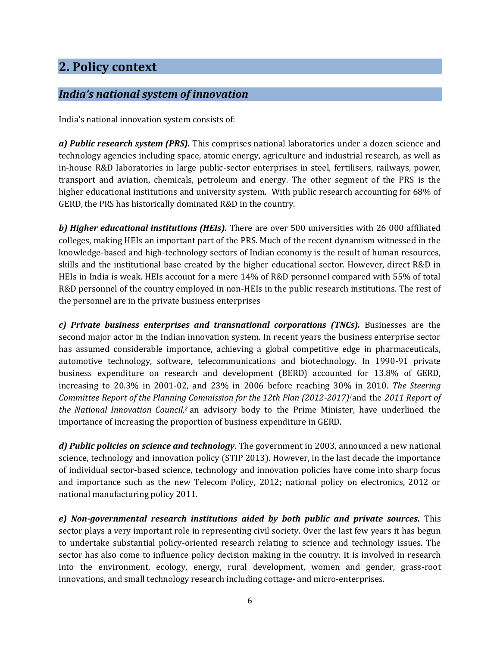## **2. Policy context**

### *India's national system of innovation*

India's national innovation system consists of:

*a) Public research system (PRS).* This comprises national laboratories under a dozen science and technology agencies including space, atomic energy, agriculture and industrial research, as well as in-house R&D laboratories in large public-sector enterprises in steel, fertilisers, railways, power, transport and aviation, chemicals, petroleum and energy. The other segment of the PRS is the higher educational institutions and university system. With public research accounting for 68% of GERD, the PRS has historically dominated R&D in the country.

*b) Higher educational institutions (HEIs).* There are over 500 universities with 26 000 affiliated colleges, making HEIs an important part of the PRS. Much of the recent dynamism witnessed in the knowledge-based and high-technology sectors of Indian economy is the result of human resources, skills and the institutional base created by the higher educational sector. However, direct R&D in HEIs in India is weak. HEIs account for a mere 14% of R&D personnel compared with 55% of total R&D personnel of the country employed in non-HEIs in the public research institutions. The rest of the personnel are in the private business enterprises

*c) Private business enterprises and transnational corporations (TNCs).* Businesses are the second major actor in the Indian innovation system. In recent years the business enterprise sector has assumed considerable importance, achieving a global competitive edge in pharmaceuticals, automotive technology, software, telecommunications and biotechnology. In 1990-91 private business expenditure on research and development (BERD) accounted for 13.8% of GERD, increasing to 20.3% in 2001-02, and 23% in 2006 before reaching 30% in 2010. *The Steering Committee Report of the Planning Commission for the 12th Plan (2012-2017)1*and the *2011 Report of the National Innovation Council, <sup>2</sup>* an advisory body to the Prime Minister, have underlined the importance of increasing the proportion of business expenditure in GERD.

*d) Public policies on science and technology*. The government in 2003, announced a new national science, technology and innovation policy (STIP 2013). However, in the last decade the importance of individual sector-based science, technology and innovation policies have come into sharp focus and importance such as the new Telecom Policy, 2012; national policy on electronics, 2012 or national manufacturing policy 2011.

*e) Non-governmental research institutions aided by both public and private sources.* This sector plays a very important role in representing civil society. Over the last few years it has begun to undertake substantial policy-oriented research relating to science and technology issues. The sector has also come to influence policy decision making in the country. It is involved in research into the environment, ecology, energy, rural development, women and gender, grass-root innovations, and small technology research including cottage- and micro-enterprises.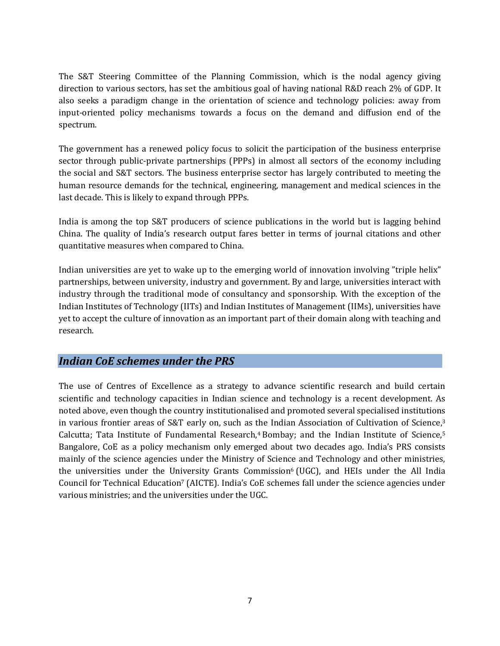The S&T Steering Committee of the Planning Commission, which is the nodal agency giving direction to various sectors, has set the ambitious goal of having national R&D reach 2% of GDP. It also seeks a paradigm change in the orientation of science and technology policies: away from input-oriented policy mechanisms towards a focus on the demand and diffusion end of the spectrum.

The government has a renewed policy focus to solicit the participation of the business enterprise sector through public-private partnerships (PPPs) in almost all sectors of the economy including the social and S&T sectors. The business enterprise sector has largely contributed to meeting the human resource demands for the technical, engineering, management and medical sciences in the last decade. This is likely to expand through PPPs.

India is among the top S&T producers of science publications in the world but is lagging behind China. The quality of India's research output fares better in terms of journal citations and other quantitative measures when compared to China.

Indian universities are yet to wake up to the emerging world of innovation involving "triple helix" partnerships, between university, industry and government. By and large, universities interact with industry through the traditional mode of consultancy and sponsorship. With the exception of the Indian Institutes of Technology (IITs) and Indian Institutes of Management (IIMs), universities have yet to accept the culture of innovation as an important part of their domain along with teaching and research.

#### *Indian CoE schemes under the PRS*

The use of Centres of Excellence as a strategy to advance scientific research and build certain scientific and technology capacities in Indian science and technology is a recent development. As noted above, even though the country institutionalised and promoted several specialised institutions in various frontier areas of S&T early on, such as the Indian Association of Cultivation of Science,<sup>3</sup> Calcutta; Tata Institute of Fundamental Research,<sup>4</sup> Bombay; and the Indian Institute of Science,<sup>5</sup> Bangalore, CoE as a policy mechanism only emerged about two decades ago. India's PRS consists mainly of the science agencies under the Ministry of Science and Technology and other ministries, the universities under the University Grants Commission<sup>6</sup> (UGC), and HEIs under the All India Council for Technical Education<sup>7</sup> (AICTE). India's CoE schemes fall under the science agencies under various ministries; and the universities under the UGC.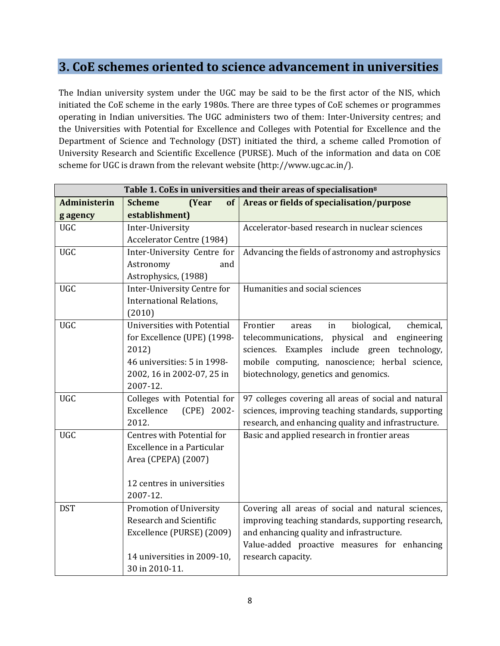### **3. CoE schemes oriented to science advancement in universities**

The Indian university system under the UGC may be said to be the first actor of the NIS, which initiated the CoE scheme in the early 1980s. There are three types of CoE schemes or programmes operating in Indian universities. The UGC administers two of them: Inter-University centres; and the Universities with Potential for Excellence and Colleges with Potential for Excellence and the Department of Science and Technology (DST) initiated the third, a scheme called Promotion of University Research and Scientific Excellence (PURSE). Much of the information and data on COE scheme for UGC is drawn from the relevant website (http://www.ugc.ac.in/).

| Table 1. CoEs in universities and their areas of specialisation <sup>8</sup> |                                                          |                                                       |  |
|------------------------------------------------------------------------------|----------------------------------------------------------|-------------------------------------------------------|--|
| <b>Administerin</b>                                                          | of<br><b>Scheme</b><br>(Year                             | Areas or fields of specialisation/purpose             |  |
| g agency                                                                     | establishment)                                           |                                                       |  |
| <b>UGC</b>                                                                   | Inter-University                                         | Accelerator-based research in nuclear sciences        |  |
|                                                                              | <b>Accelerator Centre (1984)</b>                         |                                                       |  |
| <b>UGC</b>                                                                   | Inter-University Centre for                              | Advancing the fields of astronomy and astrophysics    |  |
|                                                                              | Astronomy<br>and                                         |                                                       |  |
|                                                                              | Astrophysics, (1988)                                     |                                                       |  |
| <b>UGC</b>                                                                   | Inter-University Centre for                              | Humanities and social sciences                        |  |
|                                                                              | International Relations,                                 |                                                       |  |
|                                                                              | (2010)                                                   |                                                       |  |
| <b>UGC</b>                                                                   | Universities with Potential                              | Frontier<br>biological,<br>chemical,<br>in<br>areas   |  |
|                                                                              | for Excellence (UPE) (1998-                              | physical<br>telecommunications,<br>and<br>engineering |  |
|                                                                              | 2012)                                                    | sciences. Examples include green technology,          |  |
|                                                                              | 46 universities: 5 in 1998-                              | mobile computing, nanoscience; herbal science,        |  |
|                                                                              | 2002, 16 in 2002-07, 25 in                               | biotechnology, genetics and genomics.                 |  |
|                                                                              | 2007-12.                                                 |                                                       |  |
| <b>UGC</b>                                                                   | Colleges with Potential for                              | 97 colleges covering all areas of social and natural  |  |
|                                                                              | Excellence<br>(CPE) 2002-                                | sciences, improving teaching standards, supporting    |  |
|                                                                              | 2012.                                                    | research, and enhancing quality and infrastructure.   |  |
| <b>UGC</b>                                                                   | Centres with Potential for<br>Excellence in a Particular | Basic and applied research in frontier areas          |  |
|                                                                              |                                                          |                                                       |  |
|                                                                              | Area (CPEPA) (2007)                                      |                                                       |  |
|                                                                              | 12 centres in universities                               |                                                       |  |
|                                                                              | 2007-12.                                                 |                                                       |  |
| <b>DST</b>                                                                   | Promotion of University                                  | Covering all areas of social and natural sciences,    |  |
|                                                                              | Research and Scientific                                  | improving teaching standards, supporting research,    |  |
|                                                                              | Excellence (PURSE) (2009)                                | and enhancing quality and infrastructure.             |  |
|                                                                              |                                                          | Value-added proactive measures for enhancing          |  |
|                                                                              | 14 universities in 2009-10,                              | research capacity.                                    |  |
|                                                                              | 30 in 2010-11.                                           |                                                       |  |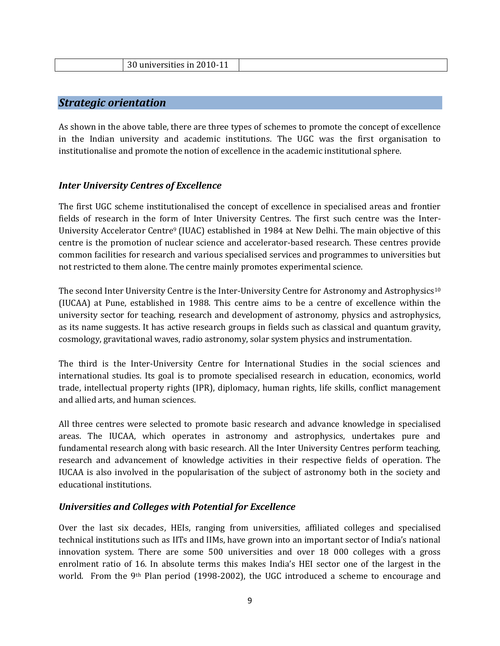| $\Omega$<br>versities in 2010-11<br>dilive<br>. |  |
|-------------------------------------------------|--|
|                                                 |  |

#### *Strategic orientation*

As shown in the above table, there are three types of schemes to promote the concept of excellence in the Indian university and academic institutions. The UGC was the first organisation to institutionalise and promote the notion of excellence in the academic institutional sphere.

#### *Inter University Centres of Excellence*

The first UGC scheme institutionalised the concept of excellence in specialised areas and frontier fields of research in the form of Inter University Centres. The first such centre was the Inter-University Accelerator Centre<sup>9</sup> (IUAC) established in 1984 at New Delhi. The main objective of this centre is the promotion of nuclear science and accelerator-based research. These centres provide common facilities for research and various specialised services and programmes to universities but not restricted to them alone. The centre mainly promotes experimental science.

The second Inter University Centre is the Inter-University Centre for Astronomy and Astrophysics<sup>10</sup> (IUCAA) at Pune, established in 1988. This centre aims to be a centre of excellence within the university sector for teaching, research and development of astronomy, physics and astrophysics, as its name suggests. It has active research groups in fields such as classical and quantum gravity, cosmology, gravitational waves, radio astronomy, solar system physics and instrumentation.

The third is the Inter-University Centre for International Studies in the social sciences and international studies. Its goal is to promote specialised research in education, economics, world trade, intellectual property rights (IPR), diplomacy, human rights, life skills, conflict management and allied arts, and human sciences.

All three centres were selected to promote basic research and advance knowledge in specialised areas. The IUCAA, which operates in astronomy and astrophysics, undertakes pure and fundamental research along with basic research. All the Inter University Centres perform teaching, research and advancement of knowledge activities in their respective fields of operation. The IUCAA is also involved in the popularisation of the subject of astronomy both in the society and educational institutions.

#### *Universities and Colleges with Potential for Excellence*

Over the last six decades, HEIs, ranging from universities, affiliated colleges and specialised technical institutions such as IITs and IIMs, have grown into an important sector of India's national innovation system. There are some 500 universities and over 18 000 colleges with a gross enrolment ratio of 16. In absolute terms this makes India's HEI sector one of the largest in the world. From the 9th Plan period (1998-2002), the UGC introduced a scheme to encourage and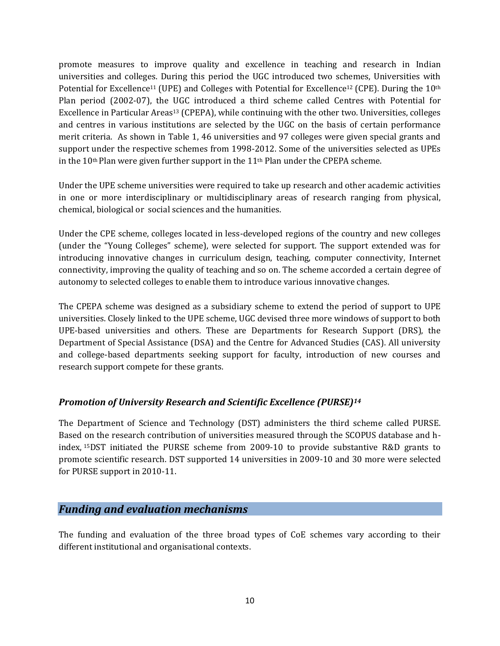promote measures to improve quality and excellence in teaching and research in Indian universities and colleges. During this period the UGC introduced two schemes, Universities with Potential for Excellence<sup>11</sup> (UPE) and Colleges with Potential for Excellence<sup>12</sup> (CPE). During the 10<sup>th</sup> Plan period (2002-07), the UGC introduced a third scheme called Centres with Potential for Excellence in Particular Areas<sup>13</sup> (CPEPA), while continuing with the other two. Universities, colleges and centres in various institutions are selected by the UGC on the basis of certain performance merit criteria. As shown in Table 1, 46 universities and 97 colleges were given special grants and support under the respective schemes from 1998-2012. Some of the universities selected as UPEs in the  $10$ <sup>th</sup> Plan were given further support in the  $11$ <sup>th</sup> Plan under the CPEPA scheme.

Under the UPE scheme universities were required to take up research and other academic activities in one or more interdisciplinary or multidisciplinary areas of research ranging from physical, chemical, biological or social sciences and the humanities.

Under the CPE scheme, colleges located in less-developed regions of the country and new colleges (under the "Young Colleges" scheme), were selected for support. The support extended was for introducing innovative changes in curriculum design, teaching, computer connectivity, Internet connectivity, improving the quality of teaching and so on. The scheme accorded a certain degree of autonomy to selected colleges to enable them to introduce various innovative changes.

The CPEPA scheme was designed as a subsidiary scheme to extend the period of support to UPE universities. Closely linked to the UPE scheme, UGC devised three more windows of support to both UPE-based universities and others. These are Departments for Research Support (DRS), the Department of Special Assistance (DSA) and the Centre for Advanced Studies (CAS). All university and college-based departments seeking support for faculty, introduction of new courses and research support compete for these grants.

#### *Promotion of University Research and Scientific Excellence (PURSE)<sup>14</sup>*

The Department of Science and Technology (DST) administers the third scheme called PURSE. Based on the research contribution of universities measured through the SCOPUS database and hindex, 15DST initiated the PURSE scheme from 2009-10 to provide substantive R&D grants to promote scientific research. DST supported 14 universities in 2009-10 and 30 more were selected for PURSE support in 2010-11.

#### *Funding and evaluation mechanisms*

The funding and evaluation of the three broad types of CoE schemes vary according to their different institutional and organisational contexts.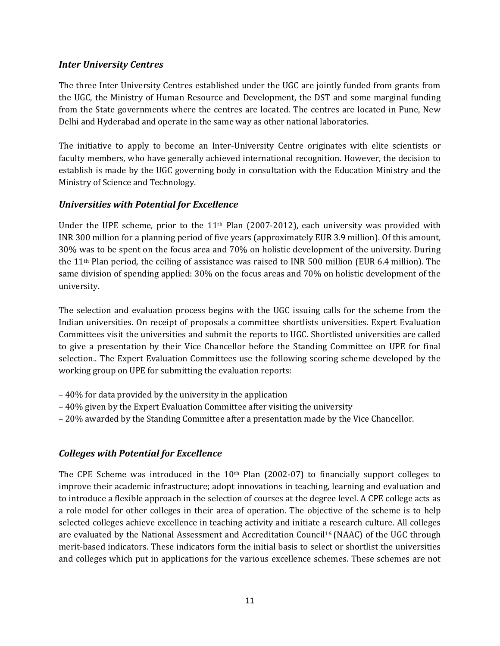#### *Inter University Centres*

The three Inter University Centres established under the UGC are jointly funded from grants from the UGC, the Ministry of Human Resource and Development, the DST and some marginal funding from the State governments where the centres are located. The centres are located in Pune, New Delhi and Hyderabad and operate in the same way as other national laboratories.

The initiative to apply to become an Inter-University Centre originates with elite scientists or faculty members, who have generally achieved international recognition. However, the decision to establish is made by the UGC governing body in consultation with the Education Ministry and the Ministry of Science and Technology.

#### *Universities with Potential for Excellence*

Under the UPE scheme, prior to the  $11<sup>th</sup>$  Plan (2007-2012), each university was provided with INR 300 million for a planning period of five years (approximately EUR 3.9 million). Of this amount, 30% was to be spent on the focus area and 70% on holistic development of the university. During the 11th Plan period, the ceiling of assistance was raised to INR 500 million (EUR 6.4 million). The same division of spending applied: 30% on the focus areas and 70% on holistic development of the university.

The selection and evaluation process begins with the UGC issuing calls for the scheme from the Indian universities. On receipt of proposals a committee shortlists universities. Expert Evaluation Committees visit the universities and submit the reports to UGC. Shortlisted universities are called to give a presentation by their Vice Chancellor before the Standing Committee on UPE for final selection.. The Expert Evaluation Committees use the following scoring scheme developed by the working group on UPE for submitting the evaluation reports:

- 40% for data provided by the university in the application
- 40% given by the Expert Evaluation Committee after visiting the university
- 20% awarded by the Standing Committee after a presentation made by the Vice Chancellor.

#### *Colleges with Potential for Excellence*

The CPE Scheme was introduced in the  $10<sup>th</sup>$  Plan (2002-07) to financially support colleges to improve their academic infrastructure; adopt innovations in teaching, learning and evaluation and to introduce a flexible approach in the selection of courses at the degree level. A CPE college acts as a role model for other colleges in their area of operation. The objective of the scheme is to help selected colleges achieve excellence in teaching activity and initiate a research culture. All colleges are evaluated by the National Assessment and Accreditation Council<sup>16</sup> (NAAC) of the UGC through merit-based indicators. These indicators form the initial basis to select or shortlist the universities and colleges which put in applications for the various excellence schemes. These schemes are not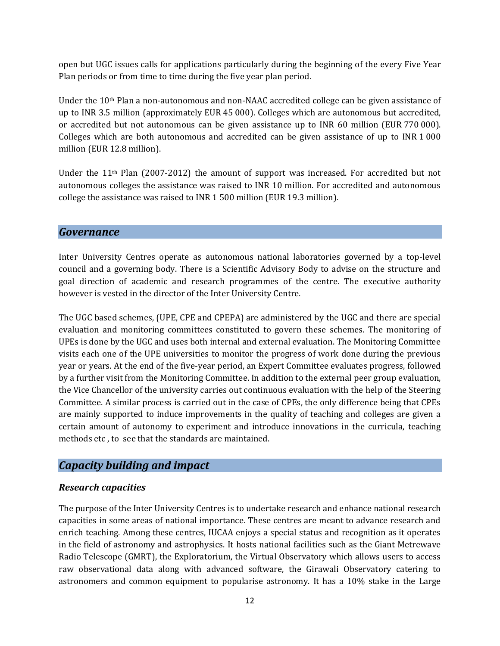open but UGC issues calls for applications particularly during the beginning of the every Five Year Plan periods or from time to time during the five year plan period.

Under the 10th Plan a non-autonomous and non-NAAC accredited college can be given assistance of up to INR 3.5 million (approximately EUR 45 000). Colleges which are autonomous but accredited, or accredited but not autonomous can be given assistance up to INR 60 million (EUR 770 000). Colleges which are both autonomous and accredited can be given assistance of up to INR 1 000 million (EUR 12.8 million).

Under the  $11<sup>th</sup>$  Plan (2007-2012) the amount of support was increased. For accredited but not autonomous colleges the assistance was raised to INR 10 million. For accredited and autonomous college the assistance was raised to INR 1 500 million (EUR 19.3 million).

#### *Governance*

Inter University Centres operate as autonomous national laboratories governed by a top-level council and a governing body. There is a Scientific Advisory Body to advise on the structure and goal direction of academic and research programmes of the centre. The executive authority however is vested in the director of the Inter University Centre.

The UGC based schemes, (UPE, CPE and CPEPA) are administered by the UGC and there are special evaluation and monitoring committees constituted to govern these schemes. The monitoring of UPEs is done by the UGC and uses both internal and external evaluation. The Monitoring Committee visits each one of the UPE universities to monitor the progress of work done during the previous year or years. At the end of the five-year period, an Expert Committee evaluates progress, followed by a further visit from the Monitoring Committee. In addition to the external peer group evaluation, the Vice Chancellor of the university carries out continuous evaluation with the help of the Steering Committee. A similar process is carried out in the case of CPEs, the only difference being that CPEs are mainly supported to induce improvements in the quality of teaching and colleges are given a certain amount of autonomy to experiment and introduce innovations in the curricula, teaching methods etc , to see that the standards are maintained.

#### *Capacity building and impact*

#### *Research capacities*

The purpose of the Inter University Centres is to undertake research and enhance national research capacities in some areas of national importance. These centres are meant to advance research and enrich teaching. Among these centres, IUCAA enjoys a special status and recognition as it operates in the field of astronomy and astrophysics. It hosts national facilities such as the Giant Metrewave Radio Telescope (GMRT), the Exploratorium, the Virtual Observatory which allows users to access raw observational data along with advanced software, the Girawali Observatory catering to astronomers and common equipment to popularise astronomy. It has a 10% stake in the Large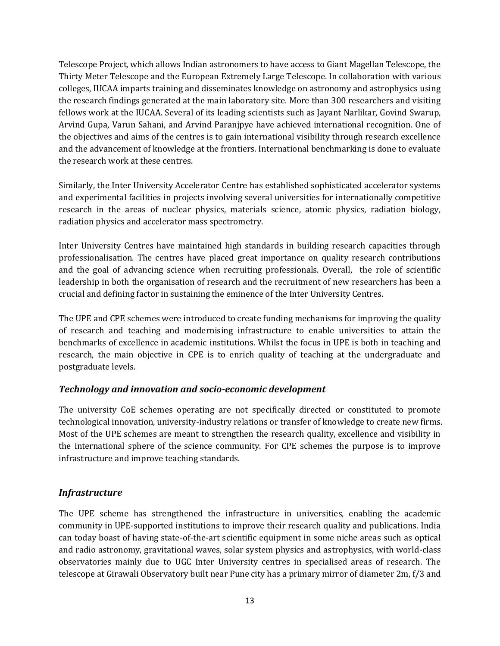Telescope Project, which allows Indian astronomers to have access to Giant Magellan Telescope, the Thirty Meter Telescope and the European Extremely Large Telescope. In collaboration with various colleges, IUCAA imparts training and disseminates knowledge on astronomy and astrophysics using the research findings generated at the main laboratory site. More than 300 researchers and visiting fellows work at the IUCAA. Several of its leading scientists such as Jayant Narlikar, Govind Swarup, Arvind Gupa, Varun Sahani, and Arvind Paranjpye have achieved international recognition. One of the objectives and aims of the centres is to gain international visibility through research excellence and the advancement of knowledge at the frontiers. International benchmarking is done to evaluate the research work at these centres.

Similarly, the Inter University Accelerator Centre has established sophisticated accelerator systems and experimental facilities in projects involving several universities for internationally competitive research in the areas of nuclear physics, materials science, atomic physics, radiation biology, radiation physics and accelerator mass spectrometry.

Inter University Centres have maintained high standards in building research capacities through professionalisation. The centres have placed great importance on quality research contributions and the goal of advancing science when recruiting professionals. Overall, the role of scientific leadership in both the organisation of research and the recruitment of new researchers has been a crucial and defining factor in sustaining the eminence of the Inter University Centres.

The UPE and CPE schemes were introduced to create funding mechanisms for improving the quality of research and teaching and modernising infrastructure to enable universities to attain the benchmarks of excellence in academic institutions. Whilst the focus in UPE is both in teaching and research, the main objective in CPE is to enrich quality of teaching at the undergraduate and postgraduate levels.

#### *Technology and innovation and socio-economic development*

The university CoE schemes operating are not specifically directed or constituted to promote technological innovation, university-industry relations or transfer of knowledge to create new firms. Most of the UPE schemes are meant to strengthen the research quality, excellence and visibility in the international sphere of the science community. For CPE schemes the purpose is to improve infrastructure and improve teaching standards.

#### *Infrastructure*

The UPE scheme has strengthened the infrastructure in universities, enabling the academic community in UPE-supported institutions to improve their research quality and publications. India can today boast of having state-of-the-art scientific equipment in some niche areas such as optical and radio astronomy, gravitational waves, solar system physics and astrophysics, with world-class observatories mainly due to UGC Inter University centres in specialised areas of research. The telescope at Girawali Observatory built near Pune city has a primary mirror of diameter 2m, f/3 and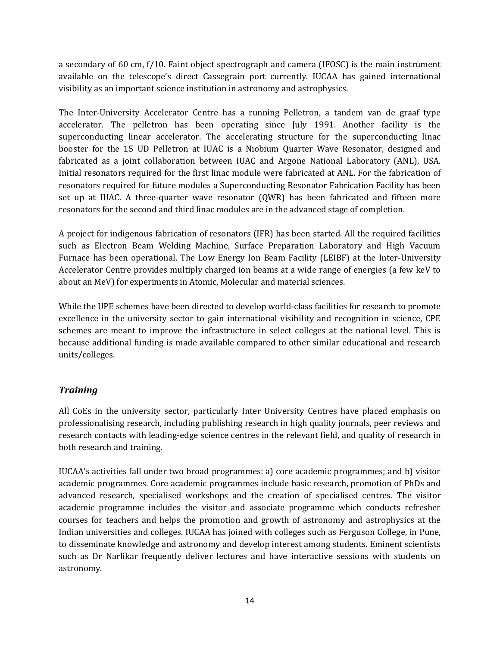a secondary of 60 cm, f/10. Faint object spectrograph and camera (IFOSC) is the main instrument available on the telescope's direct Cassegrain port currently. IUCAA has gained international visibility as an important science institution in astronomy and astrophysics.

The Inter-University Accelerator Centre has a running Pelletron, a tandem van de graaf type accelerator. The pelletron has been operating since July 1991. Another facility is the superconducting linear accelerator. The accelerating structure for the superconducting linac booster for the 15 UD Pelletron at IUAC is a Niobium Quarter Wave Resonator, designed and fabricated as a joint collaboration between IUAC and Argone National Laboratory (ANL), USA. Initial resonators required for the first linac module were fabricated at ANL. For the fabrication of resonators required for future modules a Superconducting Resonator Fabrication Facility has been set up at IUAC. A three-quarter wave resonator (QWR) has been fabricated and fifteen more resonators for the second and third linac modules are in the advanced stage of completion.

A project for indigenous fabrication of resonators (IFR) has been started. All the required facilities such as Electron Beam Welding Machine, Surface Preparation Laboratory and High Vacuum Furnace has been operational. The Low Energy Ion Beam Facility (LEIBF) at the Inter-University Accelerator Centre provides multiply charged ion beams at a wide range of energies (a few keV to about an MeV) for experiments in Atomic, Molecular and material sciences.

While the UPE schemes have been directed to develop world-class facilities for research to promote excellence in the university sector to gain international visibility and recognition in science, CPE schemes are meant to improve the infrastructure in select colleges at the national level. This is because additional funding is made available compared to other similar educational and research units/colleges.

#### *Training*

All CoEs in the university sector, particularly Inter University Centres have placed emphasis on professionalising research, including publishing research in high quality journals, peer reviews and research contacts with leading-edge science centres in the relevant field, and quality of research in both research and training.

IUCAA's activities fall under two broad programmes: a) core academic programmes; and b) visitor academic programmes. Core academic programmes include basic research, promotion of PhDs and advanced research, specialised workshops and the creation of specialised centres. The visitor academic programme includes the visitor and associate programme which conducts refresher courses for teachers and helps the promotion and growth of astronomy and astrophysics at the Indian universities and colleges. IUCAA has joined with colleges such as Ferguson College, in Pune, to disseminate knowledge and astronomy and develop interest among students. Eminent scientists such as Dr Narlikar frequently deliver lectures and have interactive sessions with students on astronomy.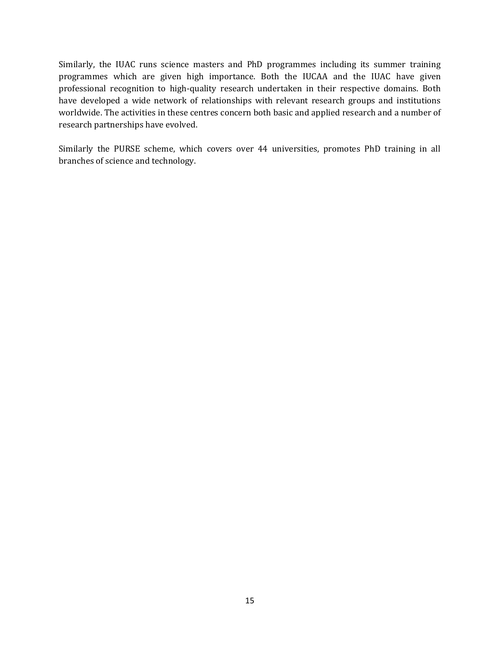Similarly, the IUAC runs science masters and PhD programmes including its summer training programmes which are given high importance. Both the IUCAA and the IUAC have given professional recognition to high-quality research undertaken in their respective domains. Both have developed a wide network of relationships with relevant research groups and institutions worldwide. The activities in these centres concern both basic and applied research and a number of research partnerships have evolved.

Similarly the PURSE scheme, which covers over 44 universities, promotes PhD training in all branches of science and technology.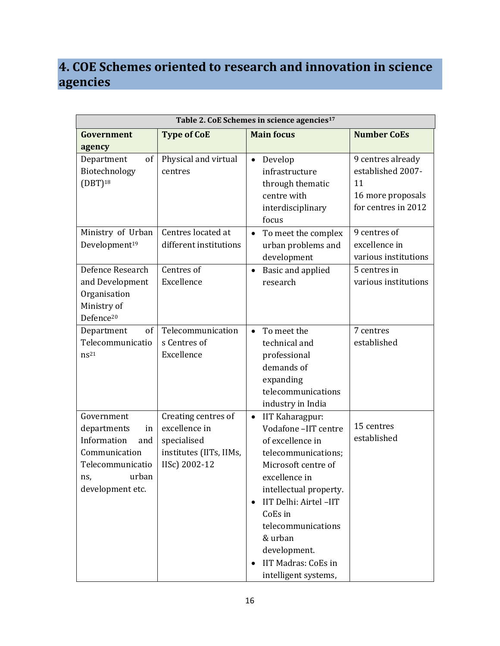## **4. COE Schemes oriented to research and innovation in science agencies**

| Table 2. CoE Schemes in science agencies <sup>17</sup>                                                                         |                                                                                                 |                                                                                                                                                                                                                                                                                                                    |                                                                                          |  |
|--------------------------------------------------------------------------------------------------------------------------------|-------------------------------------------------------------------------------------------------|--------------------------------------------------------------------------------------------------------------------------------------------------------------------------------------------------------------------------------------------------------------------------------------------------------------------|------------------------------------------------------------------------------------------|--|
| Government<br>agency                                                                                                           | <b>Type of CoE</b>                                                                              | <b>Main focus</b>                                                                                                                                                                                                                                                                                                  | <b>Number CoEs</b>                                                                       |  |
| Department<br>of<br>Biotechnology<br>$(DBT)^{18}$                                                                              | Physical and virtual<br>centres                                                                 | Develop<br>$\bullet$<br>infrastructure<br>through thematic<br>centre with<br>interdisciplinary<br>focus                                                                                                                                                                                                            | 9 centres already<br>established 2007-<br>11<br>16 more proposals<br>for centres in 2012 |  |
| Ministry of Urban<br>Development <sup>19</sup>                                                                                 | Centres located at<br>different institutions                                                    | To meet the complex<br>$\bullet$<br>urban problems and<br>development                                                                                                                                                                                                                                              | 9 centres of<br>excellence in<br>various institutions                                    |  |
| Defence Research<br>and Development<br>Organisation<br>Ministry of<br>Defence <sup>20</sup>                                    | Centres of<br>Excellence                                                                        | Basic and applied<br>$\bullet$<br>research                                                                                                                                                                                                                                                                         | 5 centres in<br>various institutions                                                     |  |
| Department<br>of<br>Telecommunicatio<br>$ns^{21}$                                                                              | Telecommunication<br>s Centres of<br>Excellence                                                 | To meet the<br>$\bullet$<br>technical and<br>professional<br>demands of<br>expanding<br>telecommunications<br>industry in India                                                                                                                                                                                    | 7 centres<br>established                                                                 |  |
| Government<br>departments<br>in<br>Information<br>and<br>Communication<br>Telecommunicatio<br>urban<br>ns.<br>development etc. | Creating centres of<br>excellence in<br>specialised<br>institutes (IITs, IIMs,<br>IISc) 2002-12 | IIT Kaharagpur:<br>$\bullet$<br>Vodafone-IIT centre<br>of excellence in<br>telecommunications;<br>Microsoft centre of<br>excellence in<br>intellectual property.<br>IIT Delhi: Airtel -IIT<br>$\bullet$<br>CoEs in<br>telecommunications<br>& urban<br>development.<br>IIT Madras: CoEs in<br>intelligent systems, | 15 centres<br>established                                                                |  |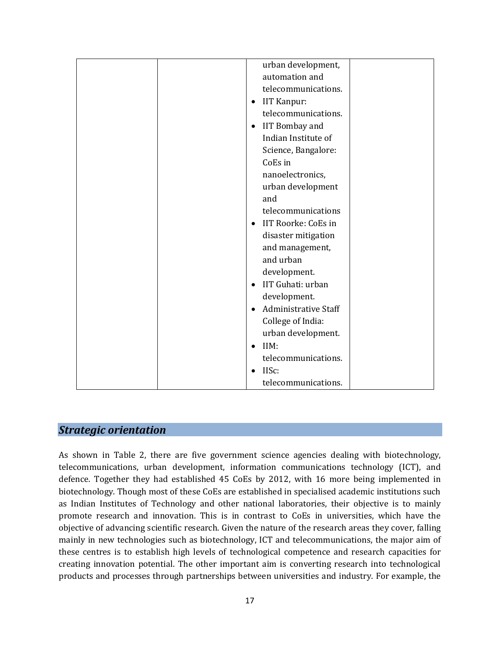| urban development,                 |
|------------------------------------|
| automation and                     |
| telecommunications.                |
| IIT Kanpur:<br>$\bullet$           |
| telecommunications.                |
| <b>IIT Bombay and</b><br>$\bullet$ |
| Indian Institute of                |
| Science, Bangalore:                |
| CoEs in                            |
| nanoelectronics,                   |
| urban development                  |
| and                                |
| telecommunications                 |
| <b>IIT Roorke: CoEs in</b>         |
| disaster mitigation                |
| and management,                    |
| and urban                          |
| development.                       |
| IIT Guhati: urban<br>$\bullet$     |
| development.                       |
| Administrative Staff<br>$\bullet$  |
| College of India:                  |
| urban development.                 |
| IIM:<br>$\bullet$                  |
| telecommunications.                |
| IISc:                              |
| telecommunications.                |
|                                    |

#### *Strategic orientation*

As shown in Table 2, there are five government science agencies dealing with biotechnology, telecommunications, urban development, information communications technology (ICT), and defence. Together they had established 45 CoEs by 2012, with 16 more being implemented in biotechnology. Though most of these CoEs are established in specialised academic institutions such as Indian Institutes of Technology and other national laboratories, their objective is to mainly promote research and innovation. This is in contrast to CoEs in universities, which have the objective of advancing scientific research. Given the nature of the research areas they cover, falling mainly in new technologies such as biotechnology, ICT and telecommunications, the major aim of these centres is to establish high levels of technological competence and research capacities for creating innovation potential. The other important aim is converting research into technological products and processes through partnerships between universities and industry. For example, the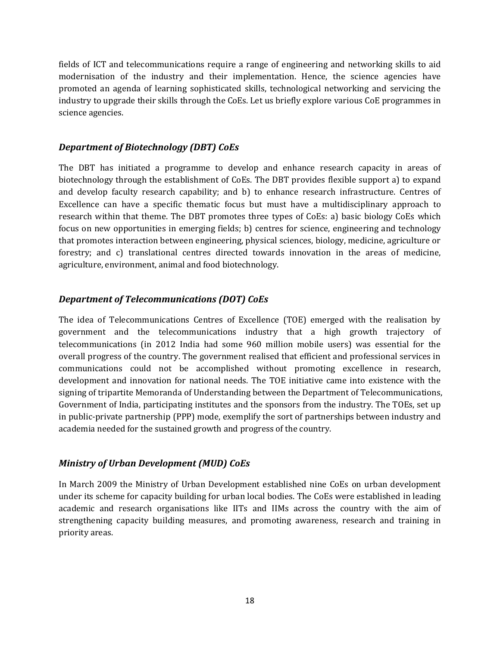fields of ICT and telecommunications require a range of engineering and networking skills to aid modernisation of the industry and their implementation. Hence, the science agencies have promoted an agenda of learning sophisticated skills, technological networking and servicing the industry to upgrade their skills through the CoEs. Let us briefly explore various CoE programmes in science agencies.

#### *Department of Biotechnology (DBT) CoEs*

The DBT has initiated a programme to develop and enhance research capacity in areas of biotechnology through the establishment of CoEs. The DBT provides flexible support a) to expand and develop faculty research capability; and b) to enhance research infrastructure. Centres of Excellence can have a specific thematic focus but must have a multidisciplinary approach to research within that theme. The DBT promotes three types of CoEs: a) basic biology CoEs which focus on new opportunities in emerging fields; b) centres for science, engineering and technology that promotes interaction between engineering, physical sciences, biology, medicine, agriculture or forestry; and c) translational centres directed towards innovation in the areas of medicine, agriculture, environment, animal and food biotechnology.

#### *Department of Telecommunications (DOT) CoEs*

The idea of Telecommunications Centres of Excellence (TOE) emerged with the realisation by government and the telecommunications industry that a high growth trajectory of telecommunications (in 2012 India had some 960 million mobile users) was essential for the overall progress of the country. The government realised that efficient and professional services in communications could not be accomplished without promoting excellence in research, development and innovation for national needs. The TOE initiative came into existence with the signing of tripartite Memoranda of Understanding between the Department of Telecommunications, Government of India, participating institutes and the sponsors from the industry. The TOEs, set up in public-private partnership (PPP) mode, exemplify the sort of partnerships between industry and academia needed for the sustained growth and progress of the country.

#### *Ministry of Urban Development (MUD) CoEs*

In March 2009 the Ministry of Urban Development established nine CoEs on urban development under its scheme for capacity building for urban local bodies. The CoEs were established in leading academic and research organisations like IITs and IIMs across the country with the aim of strengthening capacity building measures, and promoting awareness, research and training in priority areas.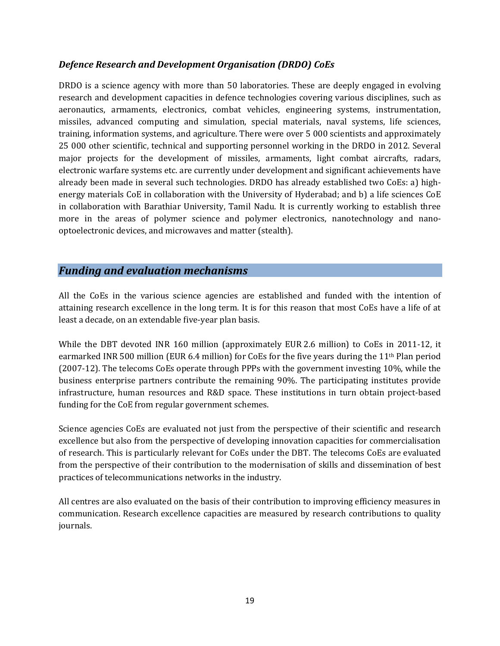#### *Defence Research and Development Organisation (DRDO) CoEs*

DRDO is a science agency with more than 50 laboratories. These are deeply engaged in evolving research and development capacities in defence technologies covering various disciplines, such as aeronautics, armaments, electronics, combat vehicles, engineering systems, instrumentation, missiles, advanced computing and simulation, special materials, naval systems, life sciences, training, information systems, and agriculture. There were over 5 000 scientists and approximately 25 000 other scientific, technical and supporting personnel working in the DRDO in 2012. Several major projects for the development of missiles, armaments, light combat aircrafts, radars, electronic warfare systems etc. are currently under development and significant achievements have already been made in several such technologies. DRDO has already established two CoEs: a) highenergy materials CoE in collaboration with the University of Hyderabad; and b) a life sciences CoE in collaboration with Barathiar University, Tamil Nadu. It is currently working to establish three more in the areas of polymer science and polymer electronics, nanotechnology and nanooptoelectronic devices, and microwaves and matter (stealth).

#### *Funding and evaluation mechanisms*

All the CoEs in the various science agencies are established and funded with the intention of attaining research excellence in the long term. It is for this reason that most CoEs have a life of at least a decade, on an extendable five-year plan basis.

While the DBT devoted INR 160 million (approximately EUR 2.6 million) to CoEs in 2011-12, it earmarked INR 500 million (EUR 6.4 million) for CoEs for the five years during the 11th Plan period (2007-12). The telecoms CoEs operate through PPPs with the government investing 10%, while the business enterprise partners contribute the remaining 90%. The participating institutes provide infrastructure, human resources and R&D space. These institutions in turn obtain project-based funding for the CoE from regular government schemes.

Science agencies CoEs are evaluated not just from the perspective of their scientific and research excellence but also from the perspective of developing innovation capacities for commercialisation of research. This is particularly relevant for CoEs under the DBT. The telecoms CoEs are evaluated from the perspective of their contribution to the modernisation of skills and dissemination of best practices of telecommunications networks in the industry.

All centres are also evaluated on the basis of their contribution to improving efficiency measures in communication. Research excellence capacities are measured by research contributions to quality journals.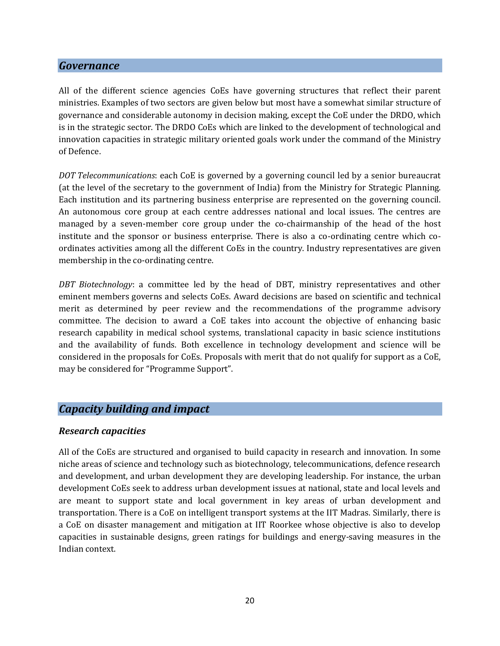#### *Governance*

All of the different science agencies CoEs have governing structures that reflect their parent ministries. Examples of two sectors are given below but most have a somewhat similar structure of governance and considerable autonomy in decision making, except the CoE under the DRDO, which is in the strategic sector. The DRDO CoEs which are linked to the development of technological and innovation capacities in strategic military oriented goals work under the command of the Ministry of Defence.

*DOT Telecommunications*: each CoE is governed by a governing council led by a senior bureaucrat (at the level of the secretary to the government of India) from the Ministry for Strategic Planning. Each institution and its partnering business enterprise are represented on the governing council. An autonomous core group at each centre addresses national and local issues. The centres are managed by a seven-member core group under the co-chairmanship of the head of the host institute and the sponsor or business enterprise. There is also a co-ordinating centre which coordinates activities among all the different CoEs in the country. Industry representatives are given membership in the co-ordinating centre.

*DBT Biotechnology*: a committee led by the head of DBT, ministry representatives and other eminent members governs and selects CoEs. Award decisions are based on scientific and technical merit as determined by peer review and the recommendations of the programme advisory committee. The decision to award a CoE takes into account the objective of enhancing basic research capability in medical school systems, translational capacity in basic science institutions and the availability of funds. Both excellence in technology development and science will be considered in the proposals for CoEs. Proposals with merit that do not qualify for support as a CoE, may be considered for "Programme Support".

#### *Capacity building and impact*

#### *Research capacities*

All of the CoEs are structured and organised to build capacity in research and innovation. In some niche areas of science and technology such as biotechnology, telecommunications, defence research and development, and urban development they are developing leadership. For instance, the urban development CoEs seek to address urban development issues at national, state and local levels and are meant to support state and local government in key areas of urban development and transportation. There is a CoE on intelligent transport systems at the IIT Madras. Similarly, there is a CoE on disaster management and mitigation at IIT Roorkee whose objective is also to develop capacities in sustainable designs, green ratings for buildings and energy-saving measures in the Indian context.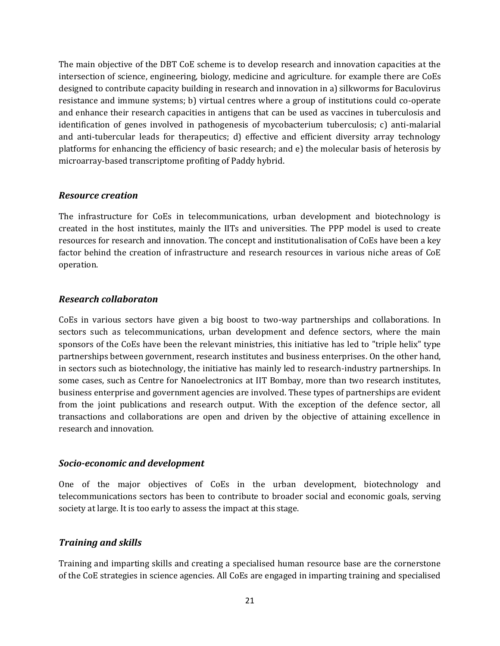The main objective of the DBT CoE scheme is to develop research and innovation capacities at the intersection of science, engineering, biology, medicine and agriculture. for example there are CoEs designed to contribute capacity building in research and innovation in a) silkworms for Baculovirus resistance and immune systems; b) virtual centres where a group of institutions could co-operate and enhance their research capacities in antigens that can be used as vaccines in tuberculosis and identification of genes involved in pathogenesis of mycobacterium tuberculosis; c) anti-malarial and anti-tubercular leads for therapeutics; d) effective and efficient diversity array technology platforms for enhancing the efficiency of basic research; and e) the molecular basis of heterosis by microarray-based transcriptome profiting of Paddy hybrid.

#### *Resource creation*

The infrastructure for CoEs in telecommunications, urban development and biotechnology is created in the host institutes, mainly the IITs and universities. The PPP model is used to create resources for research and innovation. The concept and institutionalisation of CoEs have been a key factor behind the creation of infrastructure and research resources in various niche areas of CoE operation.

#### *Research collaboraton*

CoEs in various sectors have given a big boost to two-way partnerships and collaborations. In sectors such as telecommunications, urban development and defence sectors, where the main sponsors of the CoEs have been the relevant ministries, this initiative has led to "triple helix" type partnerships between government, research institutes and business enterprises. On the other hand, in sectors such as biotechnology, the initiative has mainly led to research-industry partnerships. In some cases, such as Centre for Nanoelectronics at IIT Bombay, more than two research institutes, business enterprise and government agencies are involved. These types of partnerships are evident from the joint publications and research output. With the exception of the defence sector, all transactions and collaborations are open and driven by the objective of attaining excellence in research and innovation.

#### *Socio-economic and development*

One of the major objectives of CoEs in the urban development, biotechnology and telecommunications sectors has been to contribute to broader social and economic goals, serving society at large. It is too early to assess the impact at this stage.

#### *Training and skills*

Training and imparting skills and creating a specialised human resource base are the cornerstone of the CoE strategies in science agencies. All CoEs are engaged in imparting training and specialised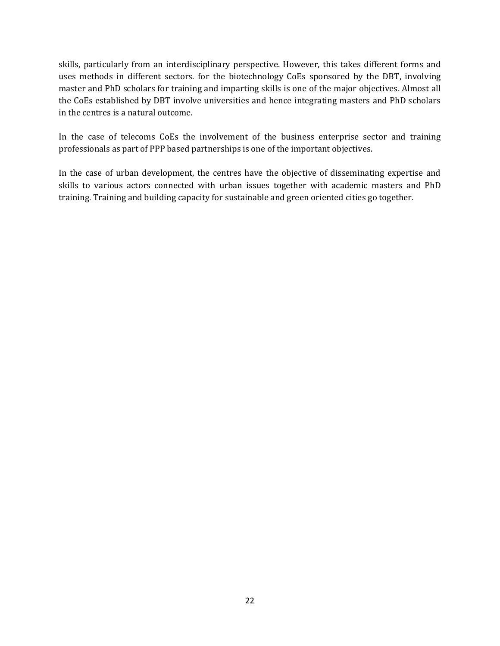skills, particularly from an interdisciplinary perspective. However, this takes different forms and uses methods in different sectors. for the biotechnology CoEs sponsored by the DBT, involving master and PhD scholars for training and imparting skills is one of the major objectives. Almost all the CoEs established by DBT involve universities and hence integrating masters and PhD scholars in the centres is a natural outcome.

In the case of telecoms CoEs the involvement of the business enterprise sector and training professionals as part of PPP based partnerships is one of the important objectives.

In the case of urban development, the centres have the objective of disseminating expertise and skills to various actors connected with urban issues together with academic masters and PhD training. Training and building capacity for sustainable and green oriented cities go together.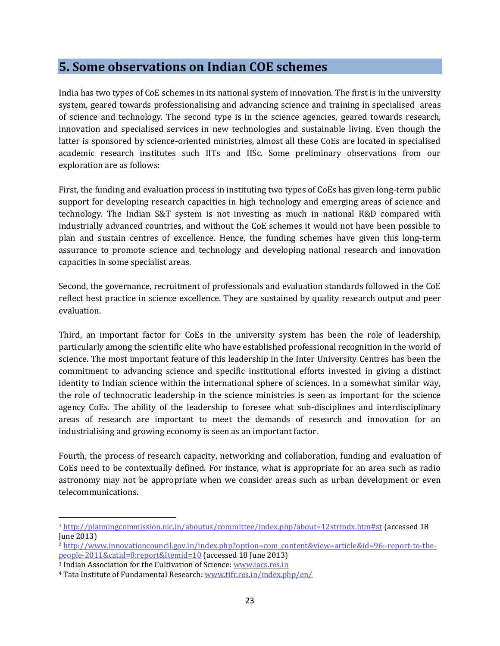### **5. Some observations on Indian COE schemes**

India has two types of CoE schemes in its national system of innovation. The first is in the university system, geared towards professionalising and advancing science and training in specialised areas of science and technology. The second type is in the science agencies, geared towards research, innovation and specialised services in new technologies and sustainable living. Even though the latter is sponsored by science-oriented ministries, almost all these CoEs are located in specialised academic research institutes such IITs and IISc. Some preliminary observations from our exploration are as follows:

First, the funding and evaluation process in instituting two types of CoEs has given long-term public support for developing research capacities in high technology and emerging areas of science and technology. The Indian S&T system is not investing as much in national R&D compared with industrially advanced countries, and without the CoE schemes it would not have been possible to plan and sustain centres of excellence. Hence, the funding schemes have given this long-term assurance to promote science and technology and developing national research and innovation capacities in some specialist areas.

Second, the governance, recruitment of professionals and evaluation standards followed in the CoE reflect best practice in science excellence. They are sustained by quality research output and peer evaluation.

Third, an important factor for CoEs in the university system has been the role of leadership, particularly among the scientific elite who have established professional recognition in the world of science. The most important feature of this leadership in the Inter University Centres has been the commitment to advancing science and specific institutional efforts invested in giving a distinct identity to Indian science within the international sphere of sciences. In a somewhat similar way, the role of technocratic leadership in the science ministries is seen as important for the science agency CoEs. The ability of the leadership to foresee what sub-disciplines and interdisciplinary areas of research are important to meet the demands of research and innovation for an industrialising and growing economy is seen as an important factor.

Fourth, the process of research capacity, networking and collaboration, funding and evaluation of CoEs need to be contextually defined. For instance, what is appropriate for an area such as radio astronomy may not be appropriate when we consider areas such as urban development or even telecommunications.

 $\overline{\phantom{a}}$ 

<sup>1</sup> <http://planningcommission.nic.in/aboutus/committee/index.php?about=12strindx.htm#st> (accessed 18 June 2013)

<sup>2</sup> [http://www.innovationcouncil.gov.in/index.php?option=com\\_content&view=article&id=96:-report-to-the](http://www.innovationcouncil.gov.in/index.php?option=com_content&view=article&id=96:-report-to-the-people-2011&catid=8:report&Itemid=10)[people-2011&catid=8:report&Itemid=10](http://www.innovationcouncil.gov.in/index.php?option=com_content&view=article&id=96:-report-to-the-people-2011&catid=8:report&Itemid=10) (accessed 18 June 2013)

<sup>3</sup> Indian Association for the Cultivation of Science: [www.iacs.res.in](http://www.iacs.res.in/)

<sup>4</sup> Tata Institute of Fundamental Research: [www.tifr.res.in/index.php/en/](http://www.tifr.res.in/index.php/en/)